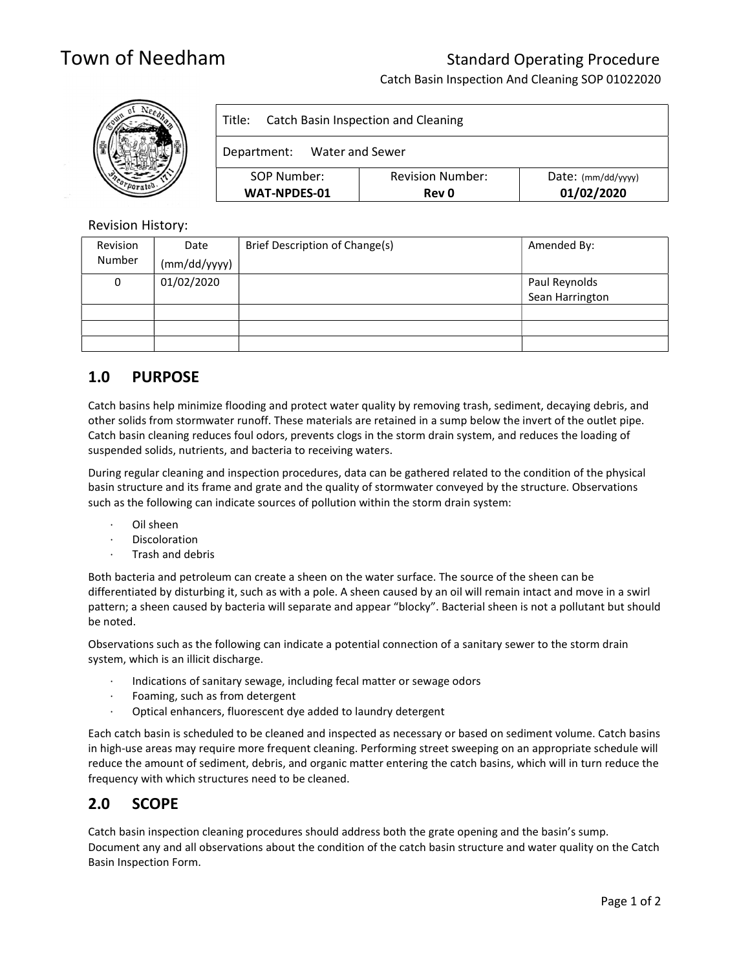# Town of Needham Standard Operating Procedure

Catch Basin Inspection And Cleaning SOP 01022020



### Revision History:

| Revision | Date         | Brief Description of Change(s) | Amended By:     |
|----------|--------------|--------------------------------|-----------------|
| Number   | (mm/dd/yyyy) |                                |                 |
| 0        | 01/02/2020   |                                | Paul Reynolds   |
|          |              |                                | Sean Harrington |
|          |              |                                |                 |
|          |              |                                |                 |
|          |              |                                |                 |

# 1.0 PURPOSE

Catch basins help minimize flooding and protect water quality by removing trash, sediment, decaying debris, and other solids from stormwater runoff. These materials are retained in a sump below the invert of the outlet pipe. Catch basin cleaning reduces foul odors, prevents clogs in the storm drain system, and reduces the loading of suspended solids, nutrients, and bacteria to receiving waters.

During regular cleaning and inspection procedures, data can be gathered related to the condition of the physical basin structure and its frame and grate and the quality of stormwater conveyed by the structure. Observations such as the following can indicate sources of pollution within the storm drain system:

- Oil sheen
- · Discoloration
- Trash and debris

Both bacteria and petroleum can create a sheen on the water surface. The source of the sheen can be differentiated by disturbing it, such as with a pole. A sheen caused by an oil will remain intact and move in a swirl pattern; a sheen caused by bacteria will separate and appear "blocky". Bacterial sheen is not a pollutant but should be noted.

Observations such as the following can indicate a potential connection of a sanitary sewer to the storm drain system, which is an illicit discharge.

- · Indications of sanitary sewage, including fecal matter or sewage odors
- Foaming, such as from detergent
- Optical enhancers, fluorescent dye added to laundry detergent

Each catch basin is scheduled to be cleaned and inspected as necessary or based on sediment volume. Catch basins in high-use areas may require more frequent cleaning. Performing street sweeping on an appropriate schedule will reduce the amount of sediment, debris, and organic matter entering the catch basins, which will in turn reduce the frequency with which structures need to be cleaned.

# 2.0 SCOPE

Catch basin inspection cleaning procedures should address both the grate opening and the basin's sump. Document any and all observations about the condition of the catch basin structure and water quality on the Catch Basin Inspection Form.